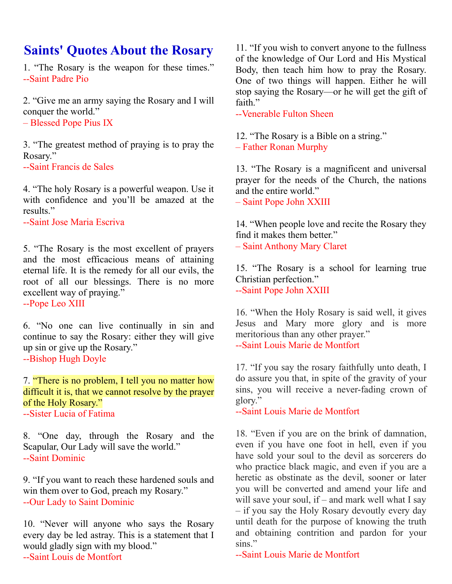## **Saints' Quotes About the Rosary**

1. "The Rosary is the weapon for these times." --Saint Padre Pio

2. "Give me an army saying the Rosary and I will conquer the world."

– Blessed Pope Pius IX

3. "The greatest method of praying is to pray the Rosary."

--Saint Francis de Sales

4. "The holy Rosary is a powerful weapon. Use it with confidence and you'll be amazed at the results."

--Saint Jose Maria Escriva

5. "The Rosary is the most excellent of prayers and the most efficacious means of attaining eternal life. It is the remedy for all our evils, the root of all our blessings. There is no more excellent way of praying."

--Pope Leo XIII

6. "No one can live continually in sin and continue to say the Rosary: either they will give up sin or give up the Rosary." --Bishop Hugh Doyle

7. "There is no problem, I tell you no matter how difficult it is, that we cannot resolve by the prayer of the Holy Rosary." --Sister Lucia of Fatima

8. "One day, through the Rosary and the Scapular, Our Lady will save the world." --Saint Dominic

9. "If you want to reach these hardened souls and win them over to God, preach my Rosary." --Our Lady to Saint Dominic

10. "Never will anyone who says the Rosary every day be led astray. This is a statement that I would gladly sign with my blood." --Saint Louis de Montfort

11. "If you wish to convert anyone to the fullness of the knowledge of Our Lord and His Mystical Body, then teach him how to pray the Rosary. One of two things will happen. Either he will stop saying the Rosary—or he will get the gift of faith"

--Venerable Fulton Sheen

12. "The Rosary is a Bible on a string." – Father Ronan Murphy

13. "The Rosary is a magnificent and universal prayer for the needs of the Church, the nations and the entire world."

– Saint Pope John XXIII

14. "When people love and recite the Rosary they find it makes them better." – Saint Anthony Mary Claret

15. "The Rosary is a school for learning true Christian perfection." --Saint Pope John XXIII

16. "When the Holy Rosary is said well, it gives Jesus and Mary more glory and is more meritorious than any other prayer." --Saint Louis Marie de Montfort

17. "If you say the rosary faithfully unto death, I do assure you that, in spite of the gravity of your sins, you will receive a never-fading crown of glory."

--Saint Louis Marie de Montfort

18. "Even if you are on the brink of damnation, even if you have one foot in hell, even if you have sold your soul to the devil as sorcerers do who practice black magic, and even if you are a heretic as obstinate as the devil, sooner or later you will be converted and amend your life and will save your soul, if – and mark well what I say – if you say the Holy Rosary devoutly every day until death for the purpose of knowing the truth and obtaining contrition and pardon for your sins."

--Saint Louis Marie de Montfort